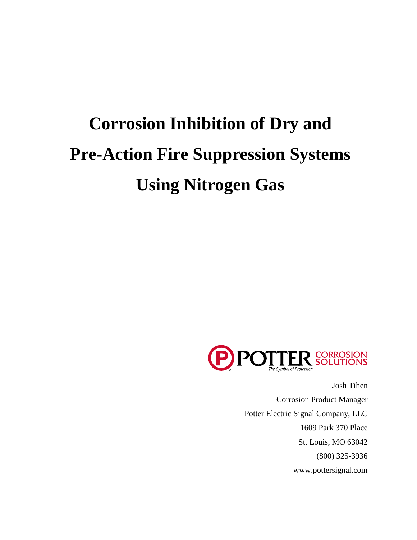# **Corrosion Inhibition of Dry and Pre-Action Fire Suppression Systems Using Nitrogen Gas**



Josh Tihen Corrosion Product Manager Potter Electric Signal Company, LLC 1609 Park 370 Place St. Louis, MO 63042 (800) 325-3936 www.pottersignal.com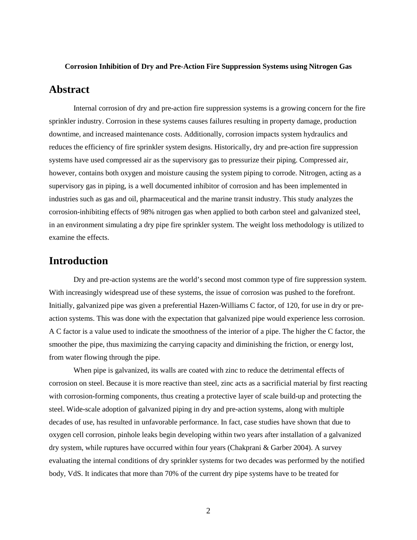#### **Corrosion Inhibition of Dry and Pre-Action Fire Suppression Systems using Nitrogen Gas**

#### **Abstract**

Internal corrosion of dry and pre-action fire suppression systems is a growing concern for the fire sprinkler industry. Corrosion in these systems causes failures resulting in property damage, production downtime, and increased maintenance costs. Additionally, corrosion impacts system hydraulics and reduces the efficiency of fire sprinkler system designs. Historically, dry and pre-action fire suppression systems have used compressed air as the supervisory gas to pressurize their piping. Compressed air, however, contains both oxygen and moisture causing the system piping to corrode. Nitrogen, acting as a supervisory gas in piping, is a well documented inhibitor of corrosion and has been implemented in industries such as gas and oil, pharmaceutical and the marine transit industry. This study analyzes the corrosion-inhibiting effects of 98% nitrogen gas when applied to both carbon steel and galvanized steel, in an environment simulating a dry pipe fire sprinkler system. The weight loss methodology is utilized to examine the effects.

#### **Introduction**

Dry and pre-action systems are the world's second most common type of fire suppression system. With increasingly widespread use of these systems, the issue of corrosion was pushed to the forefront. Initially, galvanized pipe was given a preferential Hazen-Williams C factor, of 120, for use in dry or preaction systems. This was done with the expectation that galvanized pipe would experience less corrosion. A C factor is a value used to indicate the smoothness of the interior of a pipe. The higher the C factor, the smoother the pipe, thus maximizing the carrying capacity and diminishing the friction, or energy lost, from water flowing through the pipe.

When pipe is galvanized, its walls are coated with zinc to reduce the detrimental effects of corrosion on steel. Because it is more reactive than steel, zinc acts as a sacrificial material by first reacting with corrosion-forming components, thus creating a protective layer of scale build-up and protecting the steel. Wide-scale adoption of galvanized piping in dry and pre-action systems, along with multiple decades of use, has resulted in unfavorable performance. In fact, case studies have shown that due to oxygen cell corrosion, pinhole leaks begin developing within two years after installation of a galvanized dry system, while ruptures have occurred within four years (Chakprani & Garber 2004). A survey evaluating the internal conditions of dry sprinkler systems for two decades was performed by the notified body, VdS. It indicates that more than 70% of the current dry pipe systems have to be treated for

2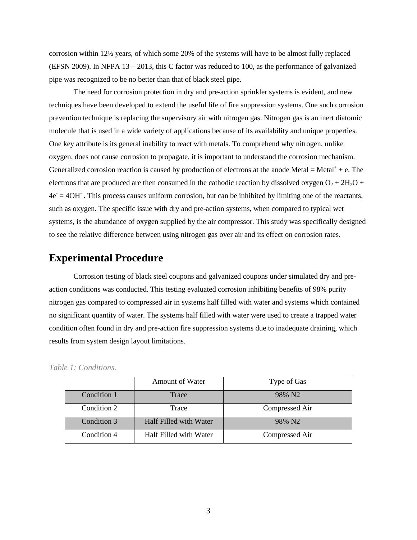corrosion within 12½ years, of which some 20% of the systems will have to be almost fully replaced (EFSN 2009). In NFPA 13 – 2013, this C factor was reduced to 100, as the performance of galvanized pipe was recognized to be no better than that of black steel pipe.

The need for corrosion protection in dry and pre-action sprinkler systems is evident, and new techniques have been developed to extend the useful life of fire suppression systems. One such corrosion prevention technique is replacing the supervisory air with nitrogen gas. Nitrogen gas is an inert diatomic molecule that is used in a wide variety of applications because of its availability and unique properties. One key attribute is its general inability to react with metals. To comprehend why nitrogen, unlike oxygen, does not cause corrosion to propagate, it is important to understand the corrosion mechanism. Generalized corrosion reaction is caused by production of electrons at the anode Metal = Metal<sup> $+$ </sup> + e. The electrons that are produced are then consumed in the cathodic reaction by dissolved oxygen  $O_2 + 2H_2O$  +  $4e = 4OH$ . This process causes uniform corrosion, but can be inhibited by limiting one of the reactants, such as oxygen. The specific issue with dry and pre-action systems, when compared to typical wet systems, is the abundance of oxygen supplied by the air compressor. This study was specifically designed to see the relative difference between using nitrogen gas over air and its effect on corrosion rates.

#### **Experimental Procedure**

Corrosion testing of black steel coupons and galvanized coupons under simulated dry and preaction conditions was conducted. This testing evaluated corrosion inhibiting benefits of 98% purity nitrogen gas compared to compressed air in systems half filled with water and systems which contained no significant quantity of water. The systems half filled with water were used to create a trapped water condition often found in dry and pre-action fire suppression systems due to inadequate draining, which results from system design layout limitations.

|             | Amount of Water        | Type of Gas        |  |
|-------------|------------------------|--------------------|--|
| Condition 1 | Trace                  | 98% N <sub>2</sub> |  |
| Condition 2 | Trace                  | Compressed Air     |  |
| Condition 3 | Half Filled with Water | 98% N <sub>2</sub> |  |
| Condition 4 | Half Filled with Water | Compressed Air     |  |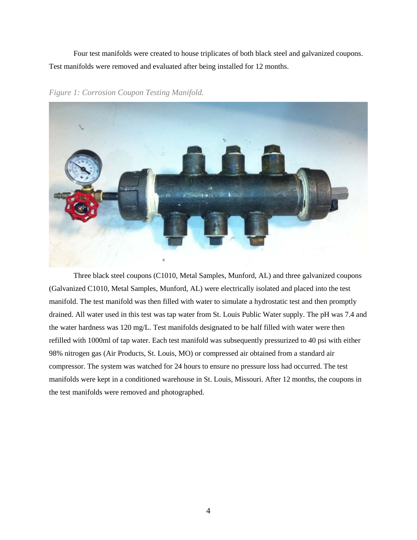Four test manifolds were created to house triplicates of both black steel and galvanized coupons. Test manifolds were removed and evaluated after being installed for 12 months.

*Figure 1: Corrosion Coupon Testing Manifold.*

Three black steel coupons (C1010, Metal Samples, Munford, AL) and three galvanized coupons (Galvanized C1010, Metal Samples, Munford, AL) were electrically isolated and placed into the test manifold. The test manifold was then filled with water to simulate a hydrostatic test and then promptly drained. All water used in this test was tap water from St. Louis Public Water supply. The pH was 7.4 and the water hardness was 120 mg/L. Test manifolds designated to be half filled with water were then refilled with 1000ml of tap water. Each test manifold was subsequently pressurized to 40 psi with either 98% nitrogen gas (Air Products, St. Louis, MO) or compressed air obtained from a standard air compressor. The system was watched for 24 hours to ensure no pressure loss had occurred. The test manifolds were kept in a conditioned warehouse in St. Louis, Missouri. After 12 months, the coupons in the test manifolds were removed and photographed.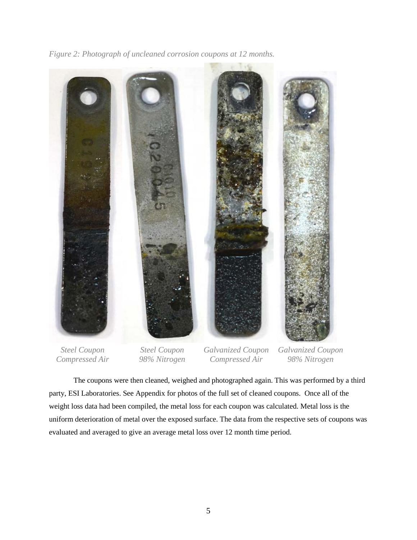*Figure 2: Photograph of uncleaned corrosion coupons at 12 months.* 



*Steel Coupon Compressed Air*

*Steel Coupon 98% Nitrogen*

*Galvanized Coupon Compressed Air*

*Galvanized Coupon 98% Nitrogen*

The coupons were then cleaned, weighed and photographed again. This was performed by a third party, ESI Laboratories. See Appendix for photos of the full set of cleaned coupons. Once all of the weight loss data had been compiled, the metal loss for each coupon was calculated. Metal loss is the uniform deterioration of metal over the exposed surface. The data from the respective sets of coupons was evaluated and averaged to give an average metal loss over 12 month time period.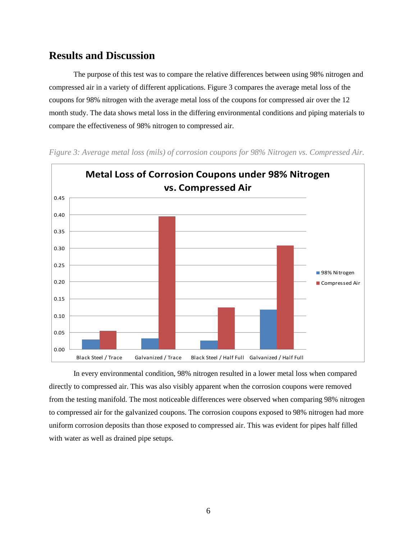### **Results and Discussion**

The purpose of this test was to compare the relative differences between using 98% nitrogen and compressed air in a variety of different applications. Figure 3 compares the average metal loss of the coupons for 98% nitrogen with the average metal loss of the coupons for compressed air over the 12 month study. The data shows metal loss in the differing environmental conditions and piping materials to compare the effectiveness of 98% nitrogen to compressed air.



*Figure 3: Average metal loss (mils) of corrosion coupons for 98% Nitrogen vs. Compressed Air.*

In every environmental condition, 98% nitrogen resulted in a lower metal loss when compared directly to compressed air. This was also visibly apparent when the corrosion coupons were removed from the testing manifold. The most noticeable differences were observed when comparing 98% nitrogen to compressed air for the galvanized coupons. The corrosion coupons exposed to 98% nitrogen had more uniform corrosion deposits than those exposed to compressed air. This was evident for pipes half filled with water as well as drained pipe setups.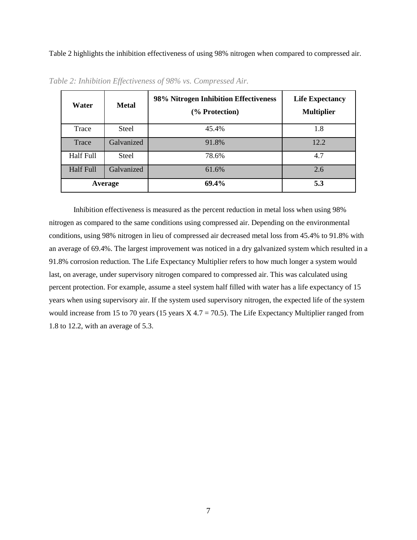Table 2 highlights the inhibition effectiveness of using 98% nitrogen when compared to compressed air.

| Water            | <b>Metal</b> | 98% Nitrogen Inhibition Effectiveness<br>(% Protection) | <b>Life Expectancy</b><br><b>Multiplier</b> |
|------------------|--------------|---------------------------------------------------------|---------------------------------------------|
| Trace            | Steel        | 45.4%                                                   | 1.8                                         |
| Trace            | Galvanized   | 91.8%                                                   | 12.2                                        |
| Half Full        | Steel        | 78.6%                                                   | 4.7                                         |
| <b>Half Full</b> | Galvanized   | 61.6%                                                   | 2.6                                         |
| Average          |              | 69.4%                                                   | 5.3                                         |

*Table 2: Inhibition Effectiveness of 98% vs. Compressed Air.*

Inhibition effectiveness is measured as the percent reduction in metal loss when using 98% nitrogen as compared to the same conditions using compressed air. Depending on the environmental conditions, using 98% nitrogen in lieu of compressed air decreased metal loss from 45.4% to 91.8% with an average of 69.4%. The largest improvement was noticed in a dry galvanized system which resulted in a 91.8% corrosion reduction. The Life Expectancy Multiplier refers to how much longer a system would last, on average, under supervisory nitrogen compared to compressed air. This was calculated using percent protection. For example, assume a steel system half filled with water has a life expectancy of 15 years when using supervisory air. If the system used supervisory nitrogen, the expected life of the system would increase from 15 to 70 years (15 years  $X$  4.7 = 70.5). The Life Expectancy Multiplier ranged from 1.8 to 12.2, with an average of 5.3.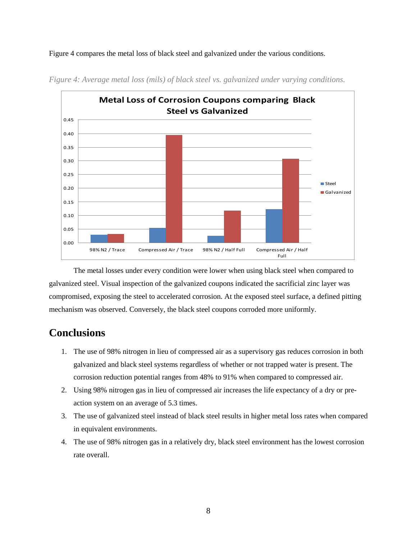Figure 4 compares the metal loss of black steel and galvanized under the various conditions.



*Figure 4: Average metal loss (mils) of black steel vs. galvanized under varying conditions.*

The metal losses under every condition were lower when using black steel when compared to galvanized steel. Visual inspection of the galvanized coupons indicated the sacrificial zinc layer was compromised, exposing the steel to accelerated corrosion. At the exposed steel surface, a defined pitting mechanism was observed. Conversely, the black steel coupons corroded more uniformly.

## **Conclusions**

- 1. The use of 98% nitrogen in lieu of compressed air as a supervisory gas reduces corrosion in both galvanized and black steel systems regardless of whether or not trapped water is present. The corrosion reduction potential ranges from 48% to 91% when compared to compressed air.
- 2. Using 98% nitrogen gas in lieu of compressed air increases the life expectancy of a dry or preaction system on an average of 5.3 times.
- 3. The use of galvanized steel instead of black steel results in higher metal loss rates when compared in equivalent environments.
- 4. The use of 98% nitrogen gas in a relatively dry, black steel environment has the lowest corrosion rate overall.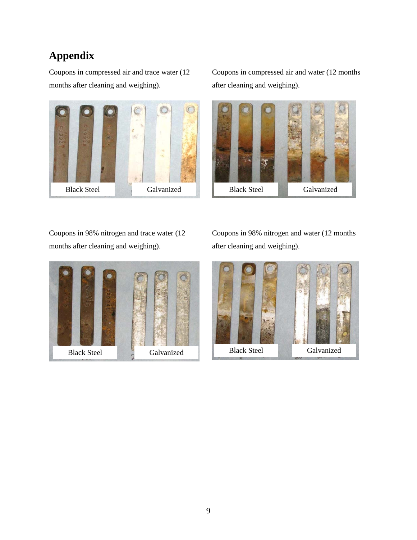# **Appendix**

Coupons in compressed air and trace water (12 months after cleaning and weighing).



Coupons in compressed air and water (12 months after cleaning and weighing).



Coupons in 98% nitrogen and trace water (12 months after cleaning and weighing).



Coupons in 98% nitrogen and water (12 months after cleaning and weighing).